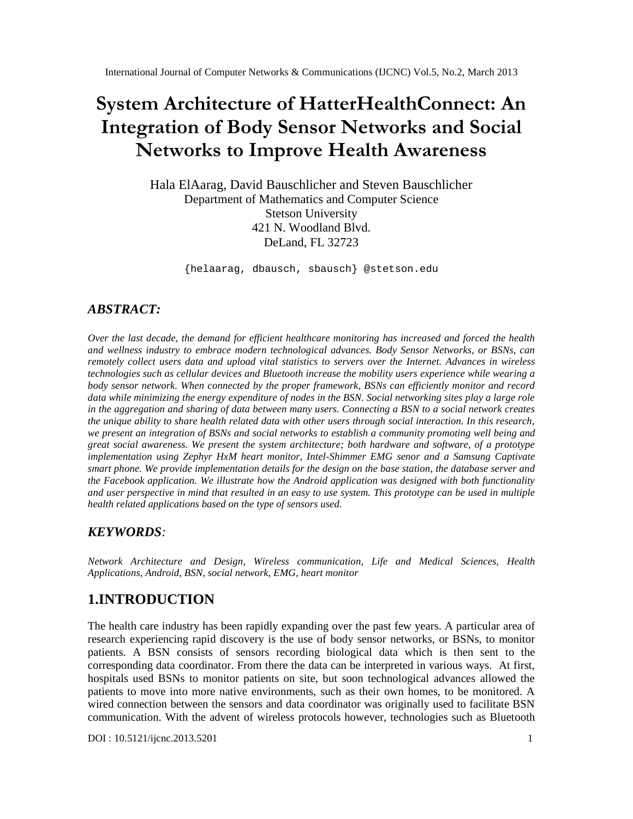# **System Architecture of HatterHealthConnect: An Integration of Body Sensor Networks and Social Networks to Improve Health Awareness**

Hala ElAarag, David Bauschlicher and Steven Bauschlicher Department of Mathematics and Computer Science Stetson University 421 N. Woodland Blvd. DeLand, FL 32723

{helaarag, dbausch, sbausch} @stetson.edu

#### *ABSTRACT:*

*Over the last decade, the demand for efficient healthcare monitoring has increased and forced the health and wellness industry to embrace modern technological advances. Body Sensor Networks, or BSNs, can remotely collect users data and upload vital statistics to servers over the Internet. Advances in wireless technologies such as cellular devices and Bluetooth increase the mobility users experience while wearing a body sensor network. When connected by the proper framework, BSNs can efficiently monitor and record data while minimizing the energy expenditure of nodes in the BSN. Social networking sites play a large role in the aggregation and sharing of data between many users. Connecting a BSN to a social network creates the unique ability to share health related data with other users through social interaction. In this research, we present an integration of BSNs and social networks to establish a community promoting well being and great social awareness. We present the system architecture; both hardware and software, of a prototype implementation using Zephyr HxM heart monitor, Intel-Shimmer EMG senor and a Samsung Captivate smart phone. We provide implementation details for the design on the base station, the database server and the Facebook application. We illustrate how the Android application was designed with both functionality and user perspective in mind that resulted in an easy to use system. This prototype can be used in multiple health related applications based on the type of sensors used.*

#### *KEYWORDS:*

*Network Architecture and Design, Wireless communication, Life and Medical Sciences, Health Applications, Android, BSN, social network, EMG, heart monitor*

# **1.INTRODUCTION**

The health care industry has been rapidly expanding over the past few years. A particular area of research experiencing rapid discovery is the use of body sensor networks, or BSNs, to monitor patients. A BSN consists of sensors recording biological data which is then sent to the corresponding data coordinator. From there the data can be interpreted in various ways. At first, hospitals used BSNs to monitor patients on site, but soon technological advances allowed the patients to move into more native environments, such as their own homes, to be monitored. A wired connection between the sensors and data coordinator was originally used to facilitate BSN communication. With the advent of wireless protocols however, technologies such as Bluetooth

DOI : 10.5121/ijcnc.2013.5201 1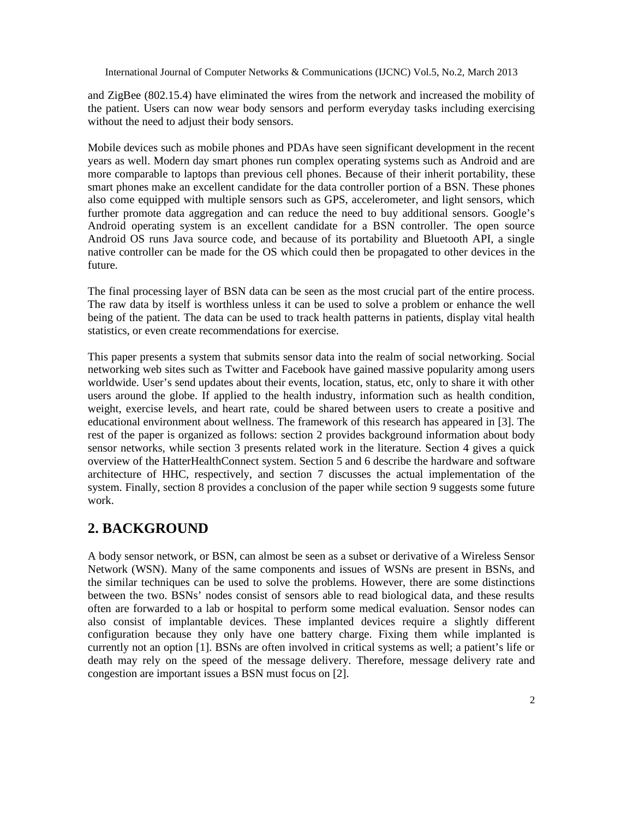and ZigBee (802.15.4) have eliminated the wires from the network and increased the mobility of the patient. Users can now wear body sensors and perform everyday tasks including exercising without the need to adjust their body sensors.

Mobile devices such as mobile phones and PDAs have seen significant development in the recent years as well. Modern day smart phones run complex operating systems such as Android and are more comparable to laptops than previous cell phones. Because of their inherit portability, these smart phones make an excellent candidate for the data controller portion of a BSN. These phones also come equipped with multiple sensors such as GPS, accelerometer, and light sensors, which further promote data aggregation and can reduce the need to buy additional sensors. Google's Android operating system is an excellent candidate for a BSN controller. The open source Android OS runs Java source code, and because of its portability and Bluetooth API, a single native controller can be made for the OS which could then be propagated to other devices in the future.

The final processing layer of BSN data can be seen as the most crucial part of the entire process. The raw data by itself is worthless unless it can be used to solve a problem or enhance the well being of the patient. The data can be used to track health patterns in patients, display vital health statistics, or even create recommendations for exercise.

This paper presents a system that submits sensor data into the realm of social networking. Social networking web sites such as Twitter and Facebook have gained massive popularity among users worldwide. User's send updates about their events, location, status, etc, only to share it with other users around the globe. If applied to the health industry, information such as health condition, weight, exercise levels, and heart rate, could be shared between users to create a positive and educational environment about wellness. The framework of this research has appeared in [3]. The rest of the paper is organized as follows: section 2 provides background information about body sensor networks, while section 3 presents related work in the literature. Section 4 gives a quick overview of the HatterHealthConnect system. Section 5 and 6 describe the hardware and software architecture of HHC, respectively, and section 7 discusses the actual implementation of the system. Finally, section 8 provides a conclusion of the paper while section 9 suggests some future work.

# **2. BACKGROUND**

A body sensor network, or BSN, can almost be seen as a subset or derivative of a Wireless Sensor Network (WSN). Many of the same components and issues of WSNs are present in BSNs, and the similar techniques can be used to solve the problems. However, there are some distinctions between the two. BSNs' nodes consist of sensors able to read biological data, and these results often are forwarded to a lab or hospital to perform some medical evaluation. Sensor nodes can also consist of implantable devices. These implanted devices require a slightly different configuration because they only have one battery charge. Fixing them while implanted is currently not an option [1]. BSNs are often involved in critical systems as well; a patient's life or death may rely on the speed of the message delivery. Therefore, message delivery rate and congestion are important issues a BSN must focus on [2].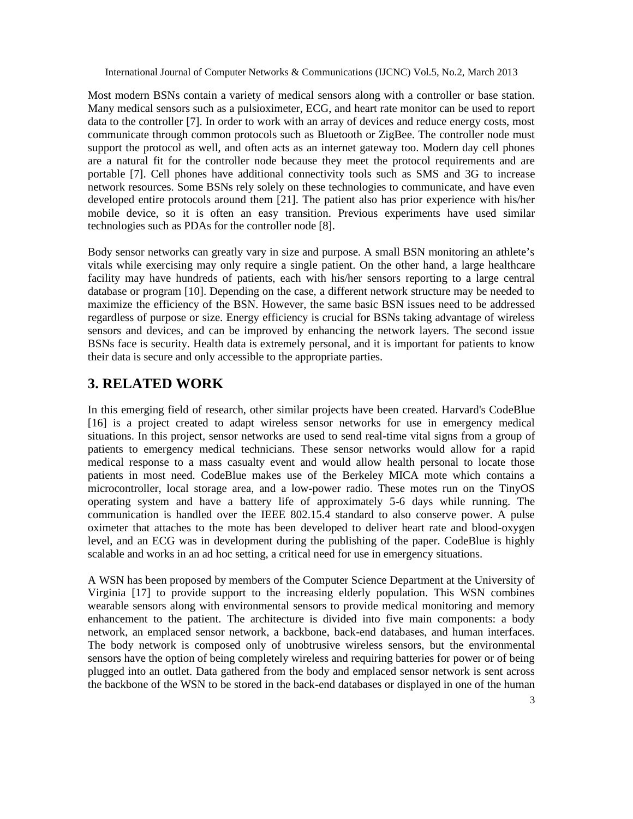Most modern BSNs contain a variety of medical sensors along with a controller or base station. Many medical sensors such as a pulsioximeter, ECG, and heart rate monitor can be used to report data to the controller [7]. In order to work with an array of devices and reduce energy costs, most communicate through common protocols such as Bluetooth or ZigBee. The controller node must support the protocol as well, and often acts as an internet gateway too. Modern day cell phones are a natural fit for the controller node because they meet the protocol requirements and are portable [7]. Cell phones have additional connectivity tools such as SMS and 3G to increase network resources. Some BSNs rely solely on these technologies to communicate, and have even developed entire protocols around them [21]. The patient also has prior experience with his/her mobile device, so it is often an easy transition. Previous experiments have used similar technologies such as PDAs for the controller node [8].

Body sensor networks can greatly vary in size and purpose. A small BSN monitoring an athlete's vitals while exercising may only require a single patient. On the other hand, a large healthcare facility may have hundreds of patients, each with his/her sensors reporting to a large central database or program [10]. Depending on the case, a different network structure may be needed to maximize the efficiency of the BSN. However, the same basic BSN issues need to be addressed regardless of purpose or size. Energy efficiency is crucial for BSNs taking advantage of wireless sensors and devices, and can be improved by enhancing the network layers. The second issue BSNs face is security. Health data is extremely personal, and it is important for patients to know their data is secure and only accessible to the appropriate parties.

# **3. RELATED WORK**

In this emerging field of research, other similar projects have been created. Harvard's CodeBlue [16] is a project created to adapt wireless sensor networks for use in emergency medical situations. In this project, sensor networks are used to send real-time vital signs from a group of patients to emergency medical technicians. These sensor networks would allow for a rapid medical response to a mass casualty event and would allow health personal to locate those patients in most need. CodeBlue makes use of the Berkeley MICA mote which contains a microcontroller, local storage area, and a low-power radio. These motes run on the TinyOS operating system and have a battery life of approximately 5-6 days while running. The communication is handled over the IEEE 802.15.4 standard to also conserve power. A pulse oximeter that attaches to the mote has been developed to deliver heart rate and blood-oxygen level, and an ECG was in development during the publishing of the paper. CodeBlue is highly scalable and works in an ad hoc setting, a critical need for use in emergency situations.

A WSN has been proposed by members of the Computer Science Department at the University of Virginia [17] to provide support to the increasing elderly population. This WSN combines wearable sensors along with environmental sensors to provide medical monitoring and memory enhancement to the patient. The architecture is divided into five main components: a body network, an emplaced sensor network, a backbone, back-end databases, and human interfaces. The body network is composed only of unobtrusive wireless sensors, but the environmental sensors have the option of being completely wireless and requiring batteries for power or of being plugged into an outlet. Data gathered from the body and emplaced sensor network is sent across the backbone of the WSN to be stored in the back-end databases or displayed in one of the human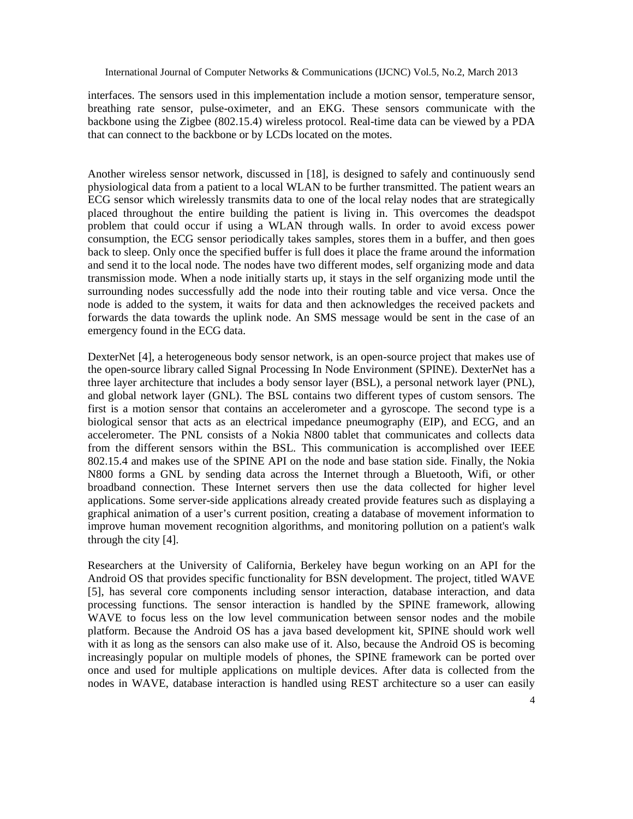interfaces. The sensors used in this implementation include a motion sensor, temperature sensor, breathing rate sensor, pulse-oximeter, and an EKG. These sensors communicate with the backbone using the Zigbee (802.15.4) wireless protocol. Real-time data can be viewed by a PDA that can connect to the backbone or by LCDs located on the motes.

Another wireless sensor network, discussed in [18], is designed to safely and continuously send physiological data from a patient to a local WLAN to be further transmitted. The patient wears an ECG sensor which wirelessly transmits data to one of the local relay nodes that are strategically placed throughout the entire building the patient is living in. This overcomes the deadspot problem that could occur if using a WLAN through walls. In order to avoid excess power consumption, the ECG sensor periodically takes samples, stores them in a buffer, and then goes back to sleep. Only once the specified buffer is full does it place the frame around the information and send it to the local node. The nodes have two different modes, self organizing mode and data transmission mode. When a node initially starts up, it stays in the self organizing mode until the surrounding nodes successfully add the node into their routing table and vice versa. Once the node is added to the system, it waits for data and then acknowledges the received packets and forwards the data towards the uplink node. An SMS message would be sent in the case of an emergency found in the ECG data.

DexterNet [4], a heterogeneous body sensor network, is an open-source project that makes use of the open-source library called Signal Processing In Node Environment (SPINE). DexterNet has a three layer architecture that includes a body sensor layer (BSL), a personal network layer (PNL), and global network layer (GNL). The BSL contains two different types of custom sensors. The first is a motion sensor that contains an accelerometer and a gyroscope. The second type is a biological sensor that acts as an electrical impedance pneumography (EIP), and ECG, and an accelerometer. The PNL consists of a Nokia N800 tablet that communicates and collects data from the different sensors within the BSL. This communication is accomplished over IEEE 802.15.4 and makes use of the SPINE API on the node and base station side. Finally, the Nokia N800 forms a GNL by sending data across the Internet through a Bluetooth, Wifi, or other broadband connection. These Internet servers then use the data collected for higher level applications. Some server-side applications already created provide features such as displaying a graphical animation of a user's current position, creating a database of movement information to improve human movement recognition algorithms, and monitoring pollution on a patient's walk through the city [4].

Researchers at the University of California, Berkeley have begun working on an API for the Android OS that provides specific functionality for BSN development. The project, titled WAVE [5], has several core components including sensor interaction, database interaction, and data processing functions. The sensor interaction is handled by the SPINE framework, allowing WAVE to focus less on the low level communication between sensor nodes and the mobile platform. Because the Android OS has a java based development kit, SPINE should work well with it as long as the sensors can also make use of it. Also, because the Android OS is becoming increasingly popular on multiple models of phones, the SPINE framework can be ported over once and used for multiple applications on multiple devices. After data is collected from the nodes in WAVE, database interaction is handled using REST architecture so a user can easily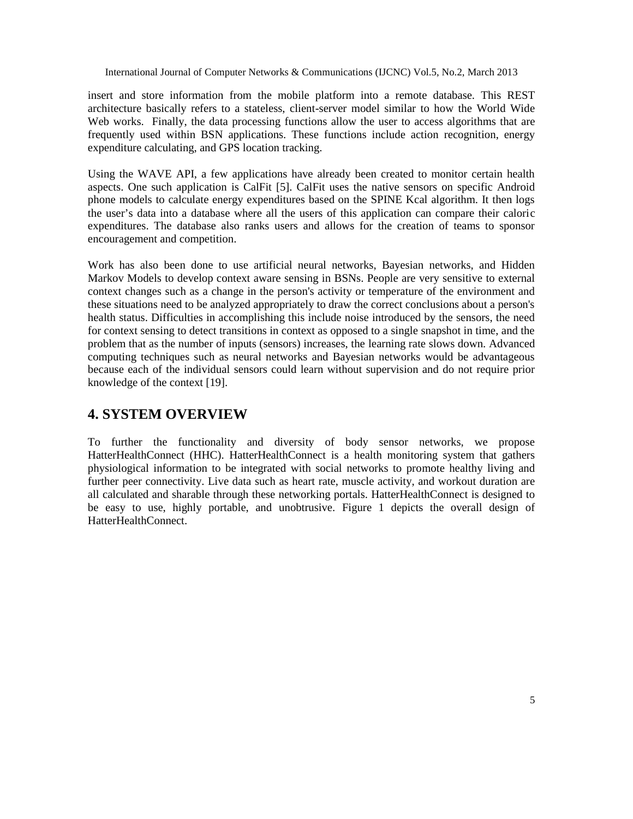insert and store information from the mobile platform into a remote database. This REST architecture basically refers to a stateless, client-server model similar to how the World Wide Web works. Finally, the data processing functions allow the user to access algorithms that are frequently used within BSN applications. These functions include action recognition, energy expenditure calculating, and GPS location tracking.

Using the WAVE API, a few applications have already been created to monitor certain health aspects. One such application is CalFit [5]. CalFit uses the native sensors on specific Android phone models to calculate energy expenditures based on the SPINE Kcal algorithm. It then logs the user's data into a database where all the users of this application can compare their caloric expenditures. The database also ranks users and allows for the creation of teams to sponsor encouragement and competition.

Work has also been done to use artificial neural networks, Bayesian networks, and Hidden Markov Models to develop context aware sensing in BSNs. People are very sensitive to external context changes such as a change in the person's activity or temperature of the environment and these situations need to be analyzed appropriately to draw the correct conclusions about a person's health status. Difficulties in accomplishing this include noise introduced by the sensors, the need for context sensing to detect transitions in context as opposed to a single snapshot in time, and the problem that as the number of inputs (sensors) increases, the learning rate slows down. Advanced computing techniques such as neural networks and Bayesian networks would be advantageous because each of the individual sensors could learn without supervision and do not require prior knowledge of the context [19].

# **4. SYSTEM OVERVIEW**

To further the functionality and diversity of body sensor networks, we propose HatterHealthConnect (HHC). HatterHealthConnect is a health monitoring system that gathers physiological information to be integrated with social networks to promote healthy living and further peer connectivity. Live data such as heart rate, muscle activity, and workout duration are all calculated and sharable through these networking portals. HatterHealthConnect is designed to be easy to use, highly portable, and unobtrusive. Figure 1 depicts the overall design of HatterHealthConnect.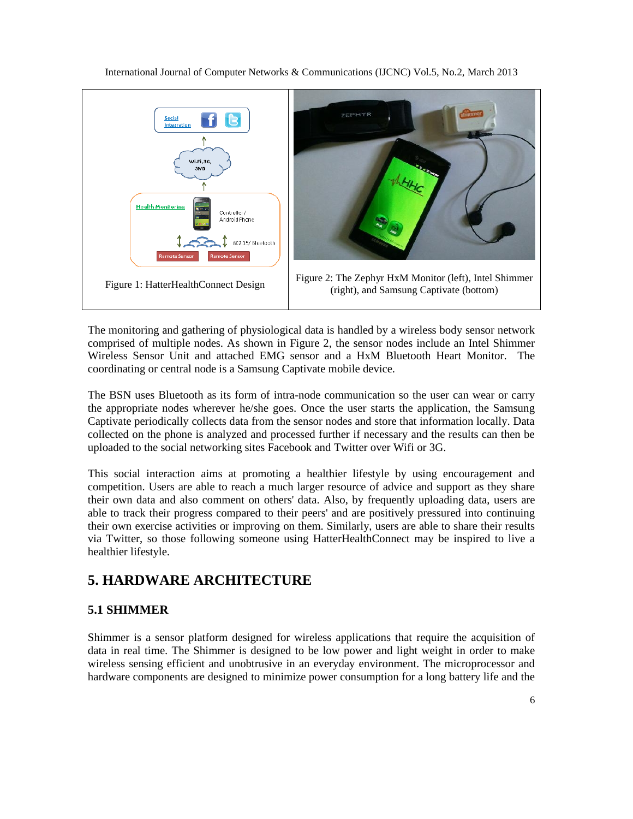

The monitoring and gathering of physiological data is handled by a wireless body sensor network comprised of multiple nodes. As shown in Figure 2, the sensor nodes include an Intel Shimmer Wireless Sensor Unit and attached EMG sensor and a HxM Bluetooth Heart Monitor. The coordinating or central node is a Samsung Captivate mobile device.

The BSN uses Bluetooth as its form of intra-node communication so the user can wear or carry the appropriate nodes wherever he/she goes. Once the user starts the application, the Samsung Captivate periodically collects data from the sensor nodes and store that information locally. Data collected on the phone is analyzed and processed further if necessary and the results can then be uploaded to the social networking sites Facebook and Twitter over Wifi or 3G.

This social interaction aims at promoting a healthier lifestyle by using encouragement and competition. Users are able to reach a much larger resource of advice and support as they share their own data and also comment on others' data. Also, by frequently uploading data, users are able to track their progress compared to their peers' and are positively pressured into continuing their own exercise activities or improving on them. Similarly, users are able to share their results via Twitter, so those following someone using HatterHealthConnect may be inspired to live a healthier lifestyle.

# **5. HARDWARE ARCHITECTURE**

### **5.1 SHIMMER**

Shimmer is a sensor platform designed for wireless applications that require the acquisition of data in real time. The Shimmer is designed to be low power and light weight in order to make wireless sensing efficient and unobtrusive in an everyday environment. The microprocessor and hardware components are designed to minimize power consumption for a long battery life and the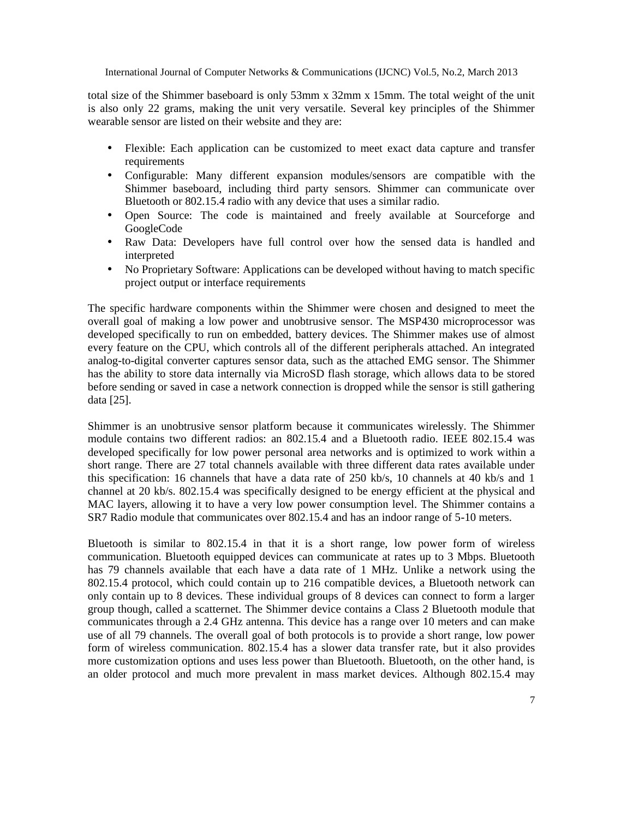total size of the Shimmer baseboard is only 53mm x 32mm x 15mm. The total weight of the unit is also only 22 grams, making the unit very versatile. Several key principles of the Shimmer wearable sensor are listed on their website and they are:

- Flexible: Each application can be customized to meet exact data capture and transfer requirements
- Configurable: Many different expansion modules/sensors are compatible with the Shimmer baseboard, including third party sensors. Shimmer can communicate over Bluetooth or 802.15.4 radio with any device that uses a similar radio.
- Open Source: The code is maintained and freely available at Sourceforge and GoogleCode
- Raw Data: Developers have full control over how the sensed data is handled and interpreted
- No Proprietary Software: Applications can be developed without having to match specific project output or interface requirements

The specific hardware components within the Shimmer were chosen and designed to meet the overall goal of making a low power and unobtrusive sensor. The MSP430 microprocessor was developed specifically to run on embedded, battery devices. The Shimmer makes use of almost every feature on the CPU, which controls all of the different peripherals attached. An integrated analog-to-digital converter captures sensor data, such as the attached EMG sensor. The Shimmer has the ability to store data internally via MicroSD flash storage, which allows data to be stored before sending or saved in case a network connection is dropped while the sensor is still gathering data [25].

Shimmer is an unobtrusive sensor platform because it communicates wirelessly. The Shimmer module contains two different radios: an 802.15.4 and a Bluetooth radio. IEEE 802.15.4 was developed specifically for low power personal area networks and is optimized to work within a short range. There are 27 total channels available with three different data rates available under this specification: 16 channels that have a data rate of 250 kb/s, 10 channels at 40 kb/s and 1 channel at 20 kb/s. 802.15.4 was specifically designed to be energy efficient at the physical and MAC layers, allowing it to have a very low power consumption level. The Shimmer contains a SR7 Radio module that communicates over 802.15.4 and has an indoor range of 5-10 meters.

Bluetooth is similar to 802.15.4 in that it is a short range, low power form of wireless communication. Bluetooth equipped devices can communicate at rates up to 3 Mbps. Bluetooth has 79 channels available that each have a data rate of 1 MHz. Unlike a network using the 802.15.4 protocol, which could contain up to 216 compatible devices, a Bluetooth network can only contain up to 8 devices. These individual groups of 8 devices can connect to form a larger group though, called a scatternet. The Shimmer device contains a Class 2 Bluetooth module that communicates through a 2.4 GHz antenna. This device has a range over 10 meters and can make use of all 79 channels. The overall goal of both protocols is to provide a short range, low power form of wireless communication. 802.15.4 has a slower data transfer rate, but it also provides more customization options and uses less power than Bluetooth. Bluetooth, on the other hand, is an older protocol and much more prevalent in mass market devices. Although 802.15.4 may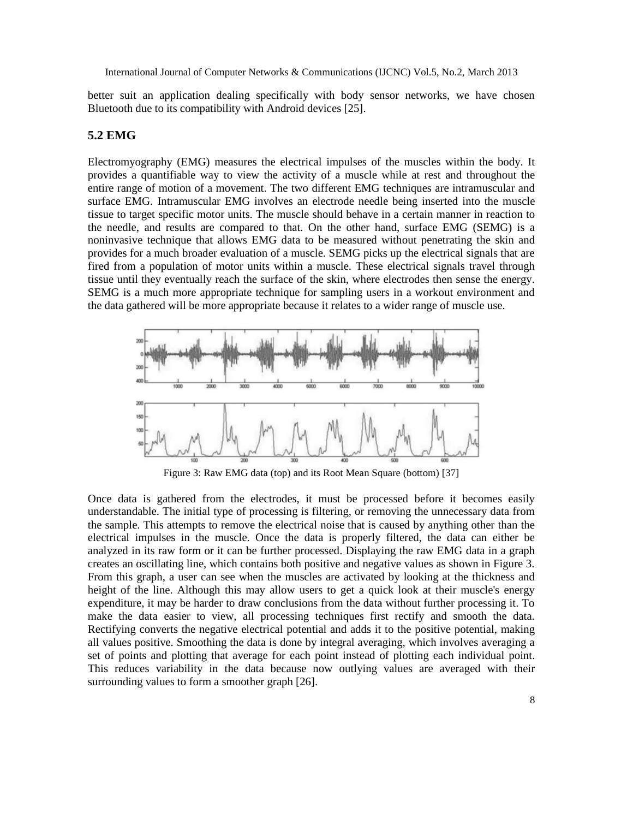better suit an application dealing specifically with body sensor networks, we have chosen Bluetooth due to its compatibility with Android devices [25].

#### **5.2 EMG**

Electromyography (EMG) measures the electrical impulses of the muscles within the body. It provides a quantifiable way to view the activity of a muscle while at rest and throughout the entire range of motion of a movement. The two different EMG techniques are intramuscular and surface EMG. Intramuscular EMG involves an electrode needle being inserted into the muscle tissue to target specific motor units. The muscle should behave in a certain manner in reaction to the needle, and results are compared to that. On the other hand, surface EMG (SEMG) is a noninvasive technique that allows EMG data to be measured without penetrating the skin and provides for a much broader evaluation of a muscle. SEMG picks up the electrical signals that are fired from a population of motor units within a muscle. These electrical signals travel through tissue until they eventually reach the surface of the skin, where electrodes then sense the energy. SEMG is a much more appropriate technique for sampling users in a workout environment and the data gathered will be more appropriate because it relates to a wider range of muscle use.



Figure 3: Raw EMG data (top) and its Root Mean Square (bottom) [37]

Once data is gathered from the electrodes, it must be processed before it becomes easily understandable. The initial type of processing is filtering, or removing the unnecessary data from the sample. This attempts to remove the electrical noise that is caused by anything other than the electrical impulses in the muscle. Once the data is properly filtered, the data can either be analyzed in its raw form or it can be further processed. Displaying the raw EMG data in a graph creates an oscillating line, which contains both positive and negative values as shown in Figure 3. From this graph, a user can see when the muscles are activated by looking at the thickness and height of the line. Although this may allow users to get a quick look at their muscle's energy expenditure, it may be harder to draw conclusions from the data without further processing it. To make the data easier to view, all processing techniques first rectify and smooth the data. Rectifying converts the negative electrical potential and adds it to the positive potential, making all values positive. Smoothing the data is done by integral averaging, which involves averaging a set of points and plotting that average for each point instead of plotting each individual point. This reduces variability in the data because now outlying values are averaged with their surrounding values to form a smoother graph [26].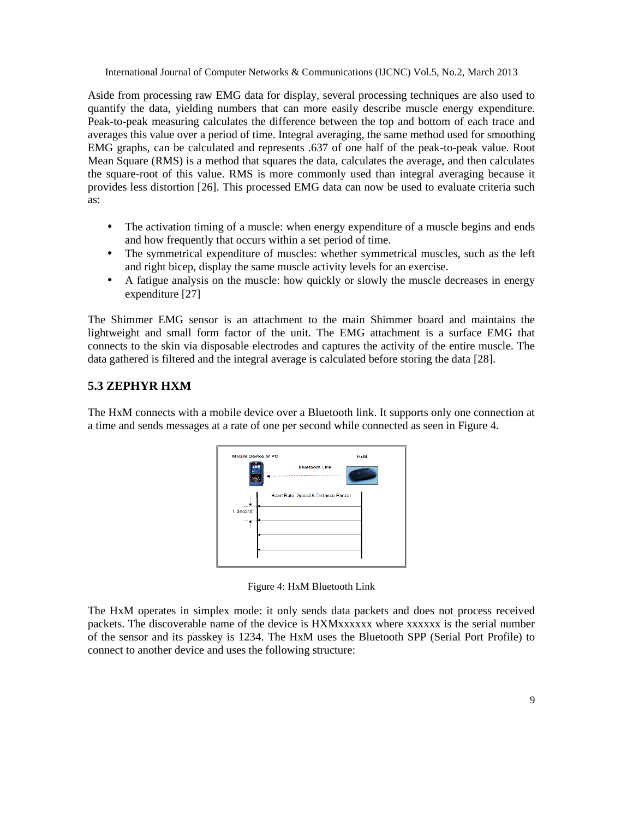Aside from processing raw EMG data for display, several processing techniques are also used to quantify the data, yielding numbers that can more easily describe muscle energy expenditure. Peak-to-peak measuring calculates the difference between the top and bottom of each trace and averages this value over a period of time. Integral averaging, the same method used for smoothing EMG graphs, can be calculated and represents .637 of one half of the peak-to-peak value. Root Mean Square (RMS) is a method that squares the data, calculates the average, and then calculates the square-root of this value. RMS is more commonly used than integral averaging because it provides less distortion [26]. This processed EMG data can now be used to evaluate criteria such as:

- The activation timing of a muscle: when energy expenditure of a muscle begins and ends and how frequently that occurs within a set period of time.
- The symmetrical expenditure of muscles: whether symmetrical muscles, such as the left and right bicep, display the same muscle activity levels for an exercise.
- A fatigue analysis on the muscle: how quickly or slowly the muscle decreases in energy expenditure [27]

The Shimmer EMG sensor is an attachment to the main Shimmer board and maintains the lightweight and small form factor of the unit. The EMG attachment is a surface EMG that connects to the skin via disposable electrodes and captures the activity of the entire muscle. The data gathered is filtered and the integral average is calculated before storing the data [28].

#### **5.3 ZEPHYR HXM**

The HxM connects with a mobile device over a Bluetooth link. It supports only one connection at a time and sends messages at a rate of one per second while connected as seen in Figure 4.

| <b>Mobile Device or PC</b> | <b>HxM</b>                           |    |  |  |  |  |
|----------------------------|--------------------------------------|----|--|--|--|--|
|                            | <b>Bluetooth Link</b><br>----------- | п. |  |  |  |  |
| - -                        | Heart Rate, Speed & Distance Packet  |    |  |  |  |  |
| 1 Second                   |                                      |    |  |  |  |  |
|                            |                                      |    |  |  |  |  |
|                            |                                      |    |  |  |  |  |
|                            |                                      |    |  |  |  |  |

Figure 4: HxM Bluetooth Link

The HxM operates in simplex mode: it only sends data packets and does not process received packets. The discoverable name of the device is HXMxxxxxx where xxxxxx is the serial number of the sensor and its passkey is 1234. The HxM uses the Bluetooth SPP (Serial Port Profile) to connect to another device and uses the following structure: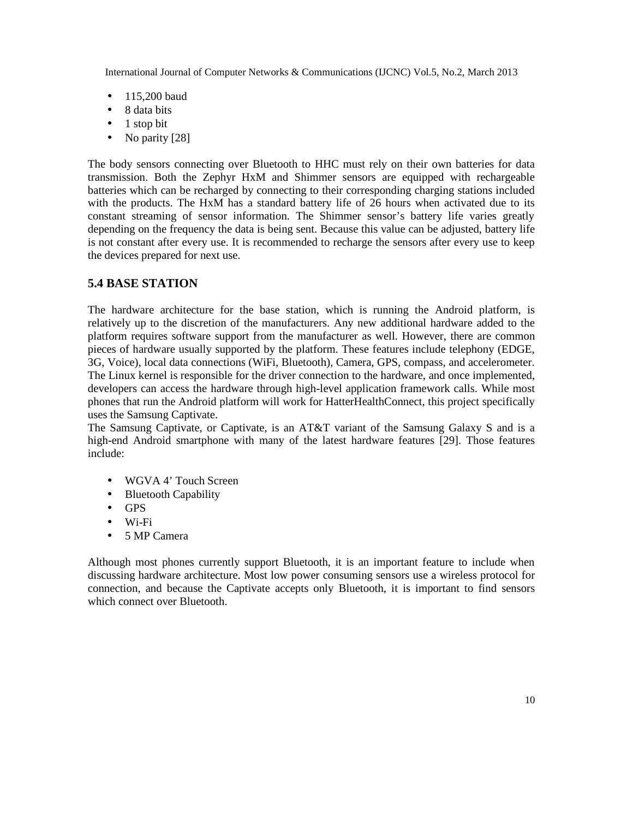- 115,200 baud
- 8 data bits
- $\bullet$  1 stop bit
- No parity [28]

The body sensors connecting over Bluetooth to HHC must rely on their own batteries for data transmission. Both the Zephyr HxM and Shimmer sensors are equipped with rechargeable batteries which can be recharged by connecting to their corresponding charging stations included with the products. The HxM has a standard battery life of 26 hours when activated due to its constant streaming of sensor information. The Shimmer sensor's battery life varies greatly depending on the frequency the data is being sent. Because this value can be adjusted, battery life is not constant after every use. It is recommended to recharge the sensors after every use to keep the devices prepared for next use.

#### **5.4 BASE STATION**

The hardware architecture for the base station, which is running the Android platform, is relatively up to the discretion of the manufacturers. Any new additional hardware added to the platform requires software support from the manufacturer as well. However, there are common pieces of hardware usually supported by the platform. These features include telephony (EDGE, 3G, Voice), local data connections (WiFi, Bluetooth), Camera, GPS, compass, and accelerometer. The Linux kernel is responsible for the driver connection to the hardware, and once implemented, developers can access the hardware through high-level application framework calls. While most phones that run the Android platform will work for HatterHealthConnect, this project specifically uses the Samsung Captivate.

The Samsung Captivate, or Captivate, is an AT&T variant of the Samsung Galaxy S and is a high-end Android smartphone with many of the latest hardware features [29]. Those features include:

- WGVA 4' Touch Screen
- Bluetooth Capability
- GPS
- Wi-Fi
- 5 MP Camera

Although most phones currently support Bluetooth, it is an important feature to include when discussing hardware architecture. Most low power consuming sensors use a wireless protocol for connection, and because the Captivate accepts only Bluetooth, it is important to find sensors which connect over Bluetooth.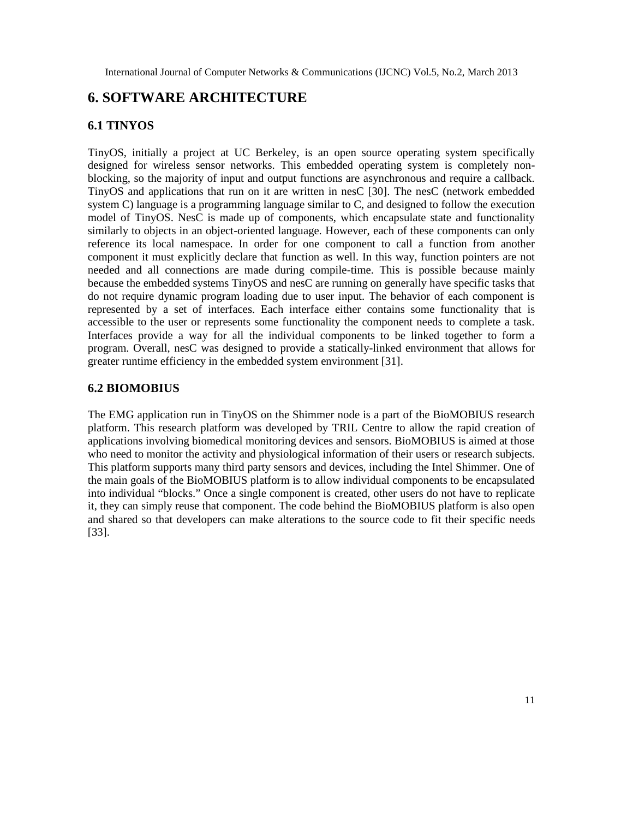# **6. SOFTWARE ARCHITECTURE**

#### **6.1 TINYOS**

TinyOS, initially a project at UC Berkeley, is an open source operating system specifically designed for wireless sensor networks. This embedded operating system is completely nonblocking, so the majority of input and output functions are asynchronous and require a callback. TinyOS and applications that run on it are written in nesC [30]. The nesC (network embedded system C) language is a programming language similar to C, and designed to follow the execution model of TinyOS. NesC is made up of components, which encapsulate state and functionality similarly to objects in an object-oriented language. However, each of these components can only reference its local namespace. In order for one component to call a function from another component it must explicitly declare that function as well. In this way, function pointers are not needed and all connections are made during compile-time. This is possible because mainly because the embedded systems TinyOS and nesC are running on generally have specific tasks that do not require dynamic program loading due to user input. The behavior of each component is represented by a set of interfaces. Each interface either contains some functionality that is accessible to the user or represents some functionality the component needs to complete a task. Interfaces provide a way for all the individual components to be linked together to form a program. Overall, nesC was designed to provide a statically-linked environment that allows for greater runtime efficiency in the embedded system environment [31].

#### **6.2 BIOMOBIUS**

The EMG application run in TinyOS on the Shimmer node is a part of the BioMOBIUS research platform. This research platform was developed by TRIL Centre to allow the rapid creation of applications involving biomedical monitoring devices and sensors. BioMOBIUS is aimed at those who need to monitor the activity and physiological information of their users or research subjects. This platform supports many third party sensors and devices, including the Intel Shimmer. One of the main goals of the BioMOBIUS platform is to allow individual components to be encapsulated into individual "blocks." Once a single component is created, other users do not have to replicate it, they can simply reuse that component. The code behind the BioMOBIUS platform is also open and shared so that developers can make alterations to the source code to fit their specific needs [33].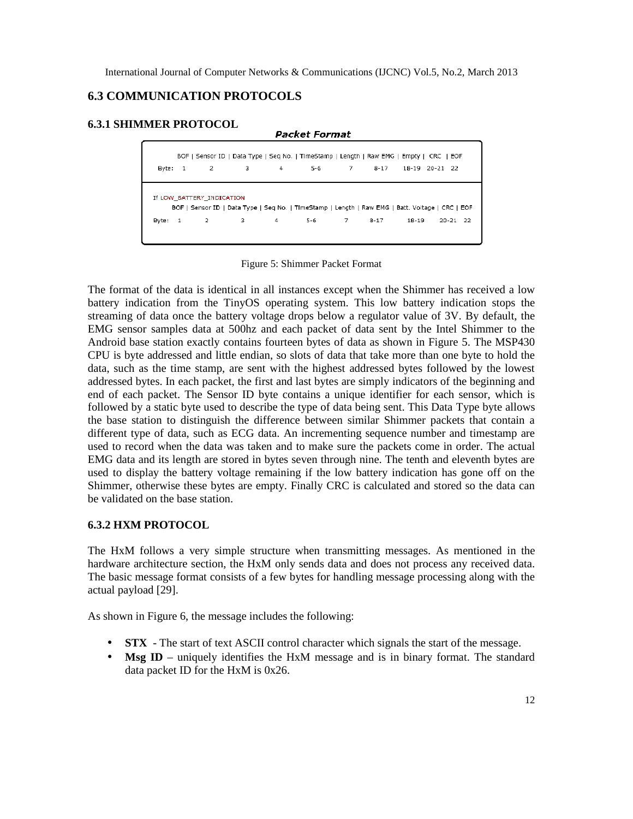## **6.3 COMMUNICATION PROTOCOLS**

#### **6.3.1 SHIMMER PROTOCOL**

| BOF   Sensor ID   Data Type   Seg No.   TimeStamp   Length   Raw EMG   Empty   CRC   EOF                                      |           |             |   |                |              |  |  |                |              |  |  |  |  |  |
|-------------------------------------------------------------------------------------------------------------------------------|-----------|-------------|---|----------------|--------------|--|--|----------------|--------------|--|--|--|--|--|
|                                                                                                                               | Byte: 1 2 |             | з | $\overline{4}$ | 5-6 7 8-17   |  |  | 18-19 20-21 22 |              |  |  |  |  |  |
| If LOW_BATTERY_INDICATION<br>BOF   Sensor ID   Data Type   Seq No.   TimeStamp   Length   Raw EMG   Batt. Voltage   CRC   EOF |           |             |   |                |              |  |  |                |              |  |  |  |  |  |
|                                                                                                                               |           | Byte: 1 2 3 |   | $\overline{4}$ | $5-6$ 7 8-17 |  |  | 18-19          | $20 - 21$ 22 |  |  |  |  |  |

**Packet Format** 

Figure 5: Shimmer Packet Format

The format of the data is identical in all instances except when the Shimmer has received a low battery indication from the TinyOS operating system. This low battery indication stops the streaming of data once the battery voltage drops below a regulator value of 3V. By default, the EMG sensor samples data at 500hz and each packet of data sent by the Intel Shimmer to the Android base station exactly contains fourteen bytes of data as shown in Figure 5. The MSP430 CPU is byte addressed and little endian, so slots of data that take more than one byte to hold the data, such as the time stamp, are sent with the highest addressed bytes followed by the lowest addressed bytes. In each packet, the first and last bytes are simply indicators of the beginning and end of each packet. The Sensor ID byte contains a unique identifier for each sensor, which is followed by a static byte used to describe the type of data being sent. This Data Type byte allows the base station to distinguish the difference between similar Shimmer packets that contain a different type of data, such as ECG data. An incrementing sequence number and timestamp are used to record when the data was taken and to make sure the packets come in order. The actual EMG data and its length are stored in bytes seven through nine. The tenth and eleventh bytes are used to display the battery voltage remaining if the low battery indication has gone off on the Shimmer, otherwise these bytes are empty. Finally CRC is calculated and stored so the data can be validated on the base station.

#### **6.3.2 HXM PROTOCOL**

The HxM follows a very simple structure when transmitting messages. As mentioned in the hardware architecture section, the HxM only sends data and does not process any received data. The basic message format consists of a few bytes for handling message processing along with the actual payload [29].

As shown in Figure 6, the message includes the following:

- **STX** The start of text ASCII control character which signals the start of the message.
- **Msg ID** uniquely identifies the HxM message and is in binary format. The standard data packet ID for the HxM is 0x26.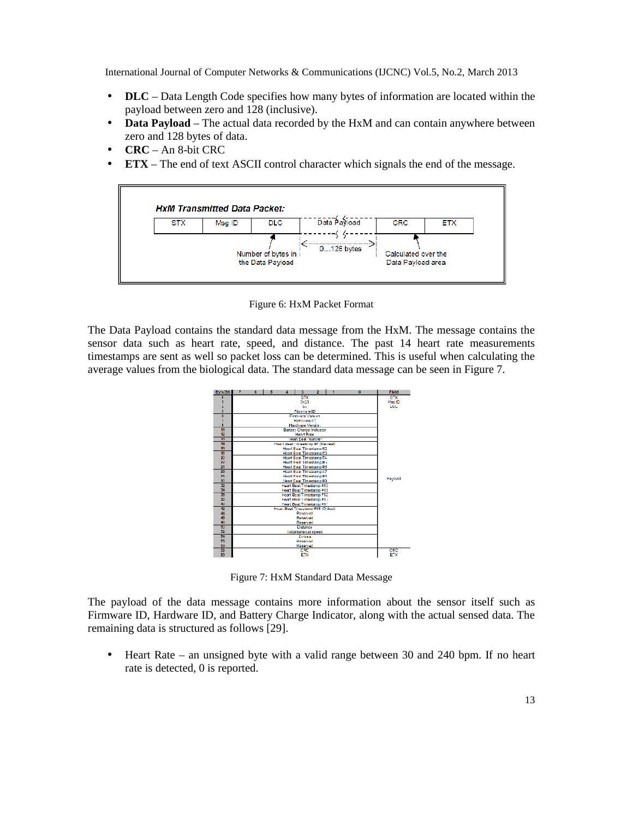- **DLC** Data Length Code specifies how many bytes of information are located within the payload between zero and 128 (inclusive).
- **Data Payload** The actual data recorded by the HxM and can contain anywhere between zero and 128 bytes of data.
- **CRC** An 8-bit CRC
- **ETX** The end of text ASCII control character which signals the end of the message.



Figure 6: HxM Packet Format

The Data Payload contains the standard data message from the HxM. The message contains the sensor data such as heart rate, speed, and distance. The past 14 heart rate measurements timestamps are sent as well so packet loss can be determined. This is useful when calculating the average values from the biological data. The standard data message can be seen in Figure 7.



Figure 7: HxM Standard Data Message

The payload of the data message contains more information about the sensor itself such as Firmware ID, Hardware ID, and Battery Charge Indicator, along with the actual sensed data. The remaining data is structured as follows [29].

• Heart Rate – an unsigned byte with a valid range between 30 and 240 bpm. If no heart rate is detected, 0 is reported.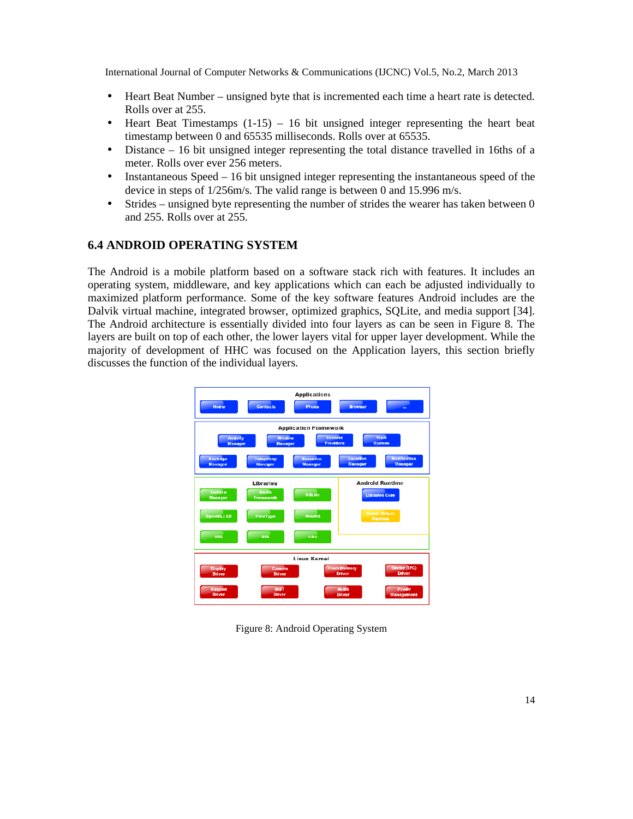- Heart Beat Number unsigned byte that is incremented each time a heart rate is detected. Rolls over at 255.
- Heart Beat Timestamps  $(1-15) 16$  bit unsigned integer representing the heart beat timestamp between 0 and 65535 milliseconds. Rolls over at 65535.
- Distance 16 bit unsigned integer representing the total distance travelled in 16ths of a meter. Rolls over ever 256 meters.
- Instantaneous Speed 16 bit unsigned integer representing the instantaneous speed of the device in steps of 1/256m/s. The valid range is between 0 and 15.996 m/s.
- Strides unsigned byte representing the number of strides the wearer has taken between 0 and 255. Rolls over at 255.

#### **6.4 ANDROID OPERATING SYSTEM**

The Android is a mobile platform based on a software stack rich with features. It includes an operating system, middleware, and key applications which can each be adjusted individually to maximized platform performance. Some of the key software features Android includes are the Dalvik virtual machine, integrated browser, optimized graphics, SQLite, and media support [34]. The Android architecture is essentially divided into four layers as can be seen in Figure 8. The layers are built on top of each other, the lower layers vital for upper layer development. While the majority of development of HHC was focused on the Application layers, this section briefly discusses the function of the individual layers.



Figure 8: Android Operating System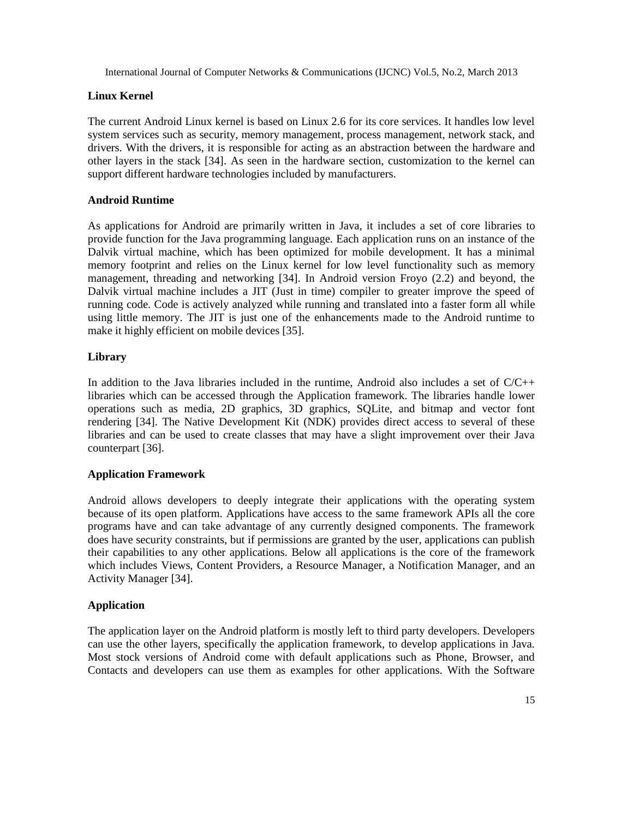#### **Linux Kernel**

The current Android Linux kernel is based on Linux 2.6 for its core services. It handles low level system services such as security, memory management, process management, network stack, and drivers. With the drivers, it is responsible for acting as an abstraction between the hardware and other layers in the stack [34]. As seen in the hardware section, customization to the kernel can support different hardware technologies included by manufacturers.

#### **Android Runtime**

As applications for Android are primarily written in Java, it includes a set of core libraries to provide function for the Java programming language. Each application runs on an instance of the Dalvik virtual machine, which has been optimized for mobile development. It has a minimal memory footprint and relies on the Linux kernel for low level functionality such as memory management, threading and networking [34]. In Android version Froyo (2.2) and beyond, the Dalvik virtual machine includes a JIT (Just in time) compiler to greater improve the speed of running code. Code is actively analyzed while running and translated into a faster form all while using little memory. The JIT is just one of the enhancements made to the Android runtime to make it highly efficient on mobile devices [35].

#### **Library**

In addition to the Java libraries included in the runtime. Android also includes a set of  $C/C++$ libraries which can be accessed through the Application framework. The libraries handle lower operations such as media, 2D graphics, 3D graphics, SQLite, and bitmap and vector font rendering [34]. The Native Development Kit (NDK) provides direct access to several of these libraries and can be used to create classes that may have a slight improvement over their Java counterpart [36].

#### **Application Framework**

Android allows developers to deeply integrate their applications with the operating system because of its open platform. Applications have access to the same framework APIs all the core programs have and can take advantage of any currently designed components. The framework does have security constraints, but if permissions are granted by the user, applications can publish their capabilities to any other applications. Below all applications is the core of the framework which includes Views, Content Providers, a Resource Manager, a Notification Manager, and an Activity Manager [34].

#### **Application**

The application layer on the Android platform is mostly left to third party developers. Developers can use the other layers, specifically the application framework, to develop applications in Java. Most stock versions of Android come with default applications such as Phone, Browser, and Contacts and developers can use them as examples for other applications. With the Software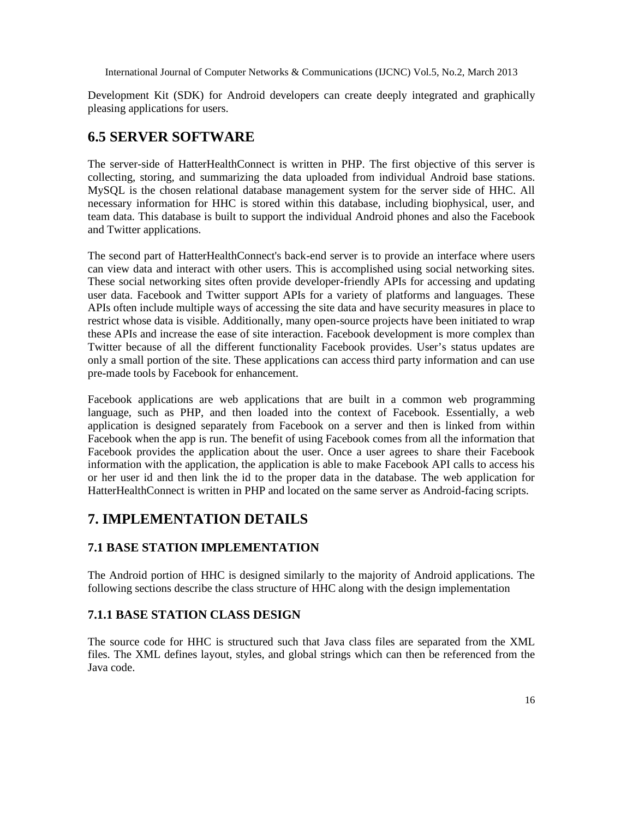Development Kit (SDK) for Android developers can create deeply integrated and graphically pleasing applications for users.

# **6.5 SERVER SOFTWARE**

The server-side of HatterHealthConnect is written in PHP. The first objective of this server is collecting, storing, and summarizing the data uploaded from individual Android base stations. MySQL is the chosen relational database management system for the server side of HHC. All necessary information for HHC is stored within this database, including biophysical, user, and team data. This database is built to support the individual Android phones and also the Facebook and Twitter applications.

The second part of HatterHealthConnect's back-end server is to provide an interface where users can view data and interact with other users. This is accomplished using social networking sites. These social networking sites often provide developer-friendly APIs for accessing and updating user data. Facebook and Twitter support APIs for a variety of platforms and languages. These APIs often include multiple ways of accessing the site data and have security measures in place to restrict whose data is visible. Additionally, many open-source projects have been initiated to wrap these APIs and increase the ease of site interaction. Facebook development is more complex than Twitter because of all the different functionality Facebook provides. User's status updates are only a small portion of the site. These applications can access third party information and can use pre-made tools by Facebook for enhancement.

Facebook applications are web applications that are built in a common web programming language, such as PHP, and then loaded into the context of Facebook. Essentially, a web application is designed separately from Facebook on a server and then is linked from within Facebook when the app is run. The benefit of using Facebook comes from all the information that Facebook provides the application about the user. Once a user agrees to share their Facebook information with the application, the application is able to make Facebook API calls to access his or her user id and then link the id to the proper data in the database. The web application for HatterHealthConnect is written in PHP and located on the same server as Android-facing scripts.

# **7. IMPLEMENTATION DETAILS**

#### **7.1 BASE STATION IMPLEMENTATION**

The Android portion of HHC is designed similarly to the majority of Android applications. The following sections describe the class structure of HHC along with the design implementation

#### **7.1.1 BASE STATION CLASS DESIGN**

The source code for HHC is structured such that Java class files are separated from the XML files. The XML defines layout, styles, and global strings which can then be referenced from the Java code.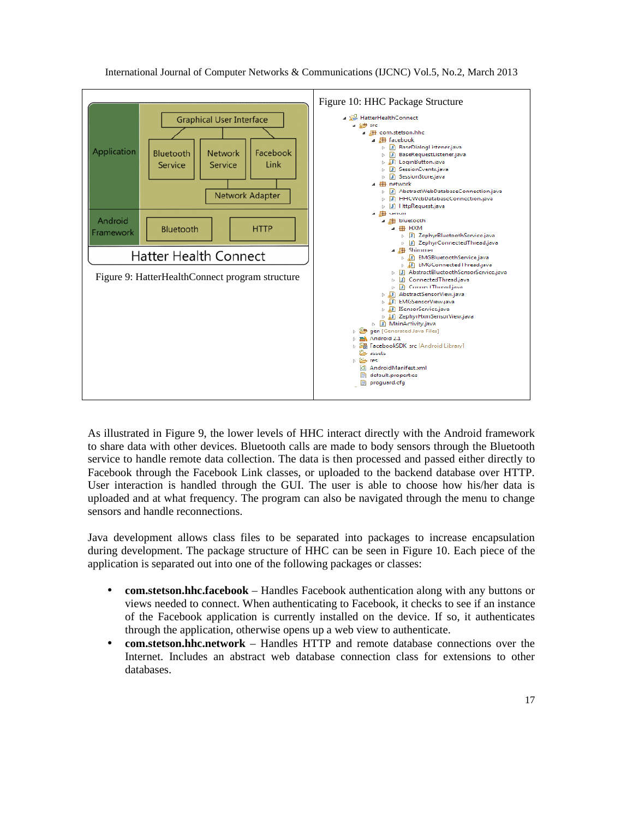

As illustrated in Figure 9, the lower levels of HHC interact directly with the Android framework to share data with other devices. Bluetooth calls are made to body sensors through the Bluetooth service to handle remote data collection. The data is then processed and passed either directly to Facebook through the Facebook Link classes, or uploaded to the backend database over HTTP. User interaction is handled through the GUI. The user is able to choose how his/her data is uploaded and at what frequency. The program can also be navigated through the menu to change sensors and handle reconnections.

Java development allows class files to be separated into packages to increase encapsulation during development. The package structure of HHC can be seen in Figure 10. Each piece of the application is separated out into one of the following packages or classes:

- **com.stetson.hhc.facebook** Handles Facebook authentication along with any buttons or views needed to connect. When authenticating to Facebook, it checks to see if an instance of the Facebook application is currently installed on the device. If so, it authenticates through the application, otherwise opens up a web view to authenticate.
- **com.stetson.hhc.network** Handles HTTP and remote database connections over the Internet. Includes an abstract web database connection class for extensions to other databases.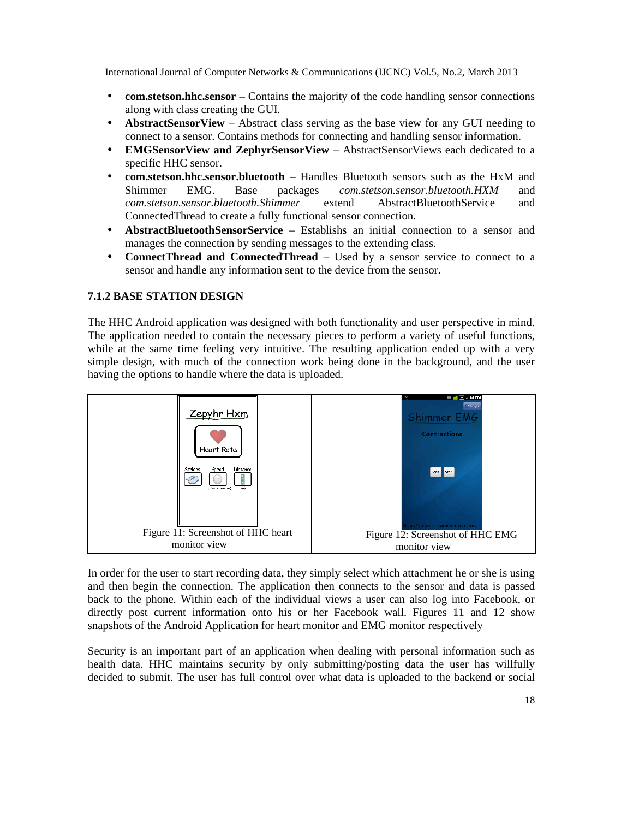- **com.stetson.hhc.sensor** Contains the majority of the code handling sensor connections along with class creating the GUI.
- **AbstractSensorView** Abstract class serving as the base view for any GUI needing to connect to a sensor. Contains methods for connecting and handling sensor information.
- **EMGSensorView and ZephyrSensorView** AbstractSensorViews each dedicated to a specific HHC sensor.
- **com.stetson.hhc.sensor.bluetooth** Handles Bluetooth sensors such as the HxM and Shimmer EMG. Base packages *com.stetson.sensor.bluetooth.HXM* and *com.stetson.sensor.bluetooth.Shimmer* extend AbstractBluetoothService and ConnectedThread to create a fully functional sensor connection.
- **AbstractBluetoothSensorService** Establishs an initial connection to a sensor and manages the connection by sending messages to the extending class.
- **ConnectThread and ConnectedThread** Used by a sensor service to connect to a sensor and handle any information sent to the device from the sensor.

#### **7.1.2 BASE STATION DESIGN**

The HHC Android application was designed with both functionality and user perspective in mind. The application needed to contain the necessary pieces to perform a variety of useful functions, while at the same time feeling very intuitive. The resulting application ended up with a very simple design, with much of the connection work being done in the background, and the user having the options to handle where the data is uploaded.



In order for the user to start recording data, they simply select which attachment he or she is using and then begin the connection. The application then connects to the sensor and data is passed back to the phone. Within each of the individual views a user can also log into Facebook, or directly post current information onto his or her Facebook wall. Figures 11 and 12 show snapshots of the Android Application for heart monitor and EMG monitor respectively

Security is an important part of an application when dealing with personal information such as health data. HHC maintains security by only submitting/posting data the user has willfully decided to submit. The user has full control over what data is uploaded to the backend or social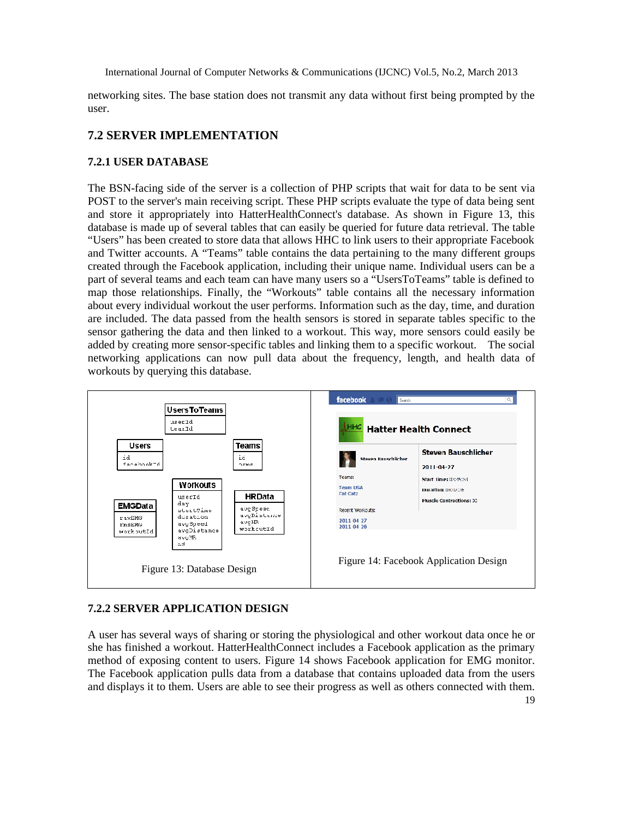networking sites. The base station does not transmit any data without first being prompted by the user.

#### **7.2 SERVER IMPLEMENTATION**

#### **7.2.1 USER DATABASE**

The BSN-facing side of the server is a collection of PHP scripts that wait for data to be sent via POST to the server's main receiving script. These PHP scripts evaluate the type of data being sent and store it appropriately into HatterHealthConnect's database. As shown in Figure 13, this database is made up of several tables that can easily be queried for future data retrieval. The table "Users" has been created to store data that allows HHC to link users to their appropriate Facebook and Twitter accounts. A "Teams" table contains the data pertaining to the many different groups created through the Facebook application, including their unique name. Individual users can be a part of several teams and each team can have many users so a "UsersToTeams" table is defined to map those relationships. Finally, the "Workouts" table contains all the necessary information about every individual workout the user performs. Information such as the day, time, and duration are included. The data passed from the health sensors is stored in separate tables specific to the sensor gathering the data and then linked to a workout. This way, more sensors could easily be added by creating more sensor-specific tables and linking them to a specific workout. The social networking applications can now pull data about the frequency, length, and health data of workouts by querying this database.



#### **7.2.2 SERVER APPLICATION DESIGN**

A user has several ways of sharing or storing the physiological and other workout data once he or she has finished a workout. HatterHealthConnect includes a Facebook application as the primary method of exposing content to users. Figure 14 shows Facebook application for EMG monitor. The Facebook application pulls data from a database that contains uploaded data from the users and displays it to them. Users are able to see their progress as well as others connected with them.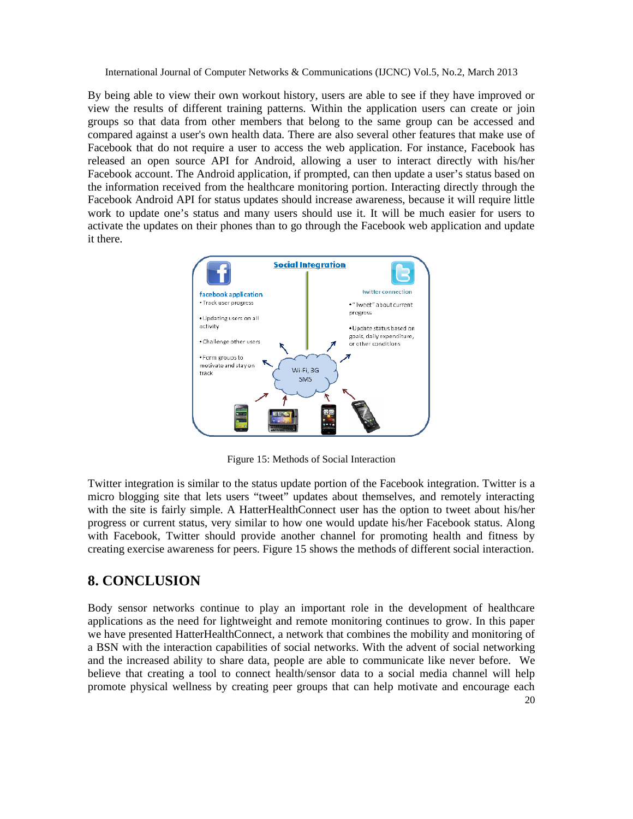By being able to view their own workout history, users are able to see if they have improved or view the results of different training patterns. Within the application users can create or join groups so that data from other members that belong to the same group can be accessed and compared against a user's own health data. There are also several other features that make use of Facebook that do not require a user to access the web application. For instance, Facebook has released an open source API for Android, allowing a user to interact directly with his/her Facebook account. The Android application, if prompted, can then update a user's status based on the information received from the healthcare monitoring portion. Interacting directly through the Facebook Android API for status updates should increase awareness, because it will require little work to update one's status and many users should use it. It will be much easier for users to activate the updates on their phones than to go through the Facebook web application and update it there.



Figure 15: Methods of Social Interaction

Twitter integration is similar to the status update portion of the Facebook integration. Twitter is a micro blogging site that lets users "tweet" updates about themselves, and remotely interacting with the site is fairly simple. A HatterHealthConnect user has the option to tweet about his/her progress or current status, very similar to how one would update his/her Facebook status. Along with Facebook, Twitter should provide another channel for promoting health and fitness by creating exercise awareness for peers. Figure 15 shows the methods of different social interaction.

# **8. CONCLUSION**

20 Body sensor networks continue to play an important role in the development of healthcare applications as the need for lightweight and remote monitoring continues to grow. In this paper we have presented HatterHealthConnect, a network that combines the mobility and monitoring of a BSN with the interaction capabilities of social networks. With the advent of social networking and the increased ability to share data, people are able to communicate like never before. We believe that creating a tool to connect health/sensor data to a social media channel will help promote physical wellness by creating peer groups that can help motivate and encourage each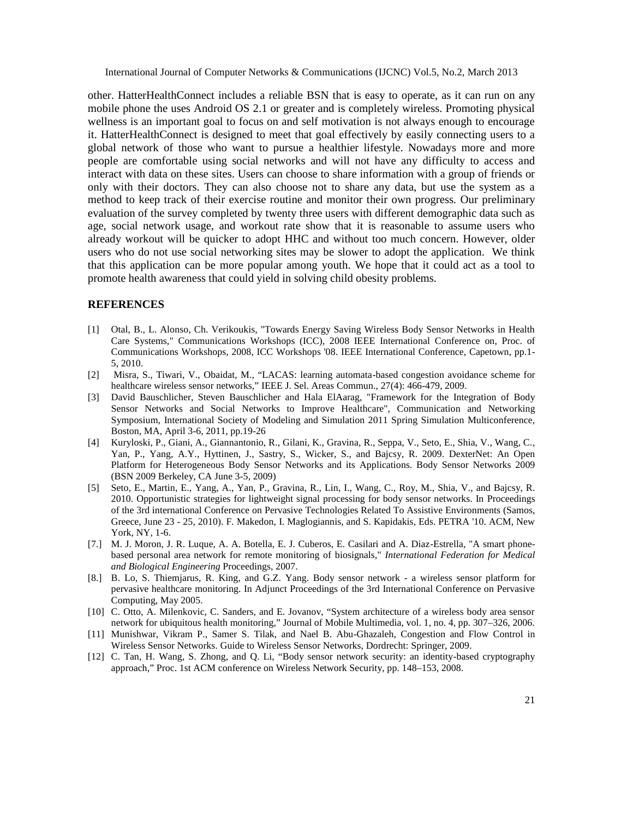other. HatterHealthConnect includes a reliable BSN that is easy to operate, as it can run on any mobile phone the uses Android OS 2.1 or greater and is completely wireless. Promoting physical wellness is an important goal to focus on and self motivation is not always enough to encourage it. HatterHealthConnect is designed to meet that goal effectively by easily connecting users to a global network of those who want to pursue a healthier lifestyle. Nowadays more and more people are comfortable using social networks and will not have any difficulty to access and interact with data on these sites. Users can choose to share information with a group of friends or only with their doctors. They can also choose not to share any data, but use the system as a method to keep track of their exercise routine and monitor their own progress. Our preliminary evaluation of the survey completed by twenty three users with different demographic data such as age, social network usage, and workout rate show that it is reasonable to assume users who already workout will be quicker to adopt HHC and without too much concern. However, older users who do not use social networking sites may be slower to adopt the application. We think that this application can be more popular among youth. We hope that it could act as a tool to promote health awareness that could yield in solving child obesity problems.

#### **REFERENCES**

- [1] Otal, B., L. Alonso, Ch. Verikoukis, "Towards Energy Saving Wireless Body Sensor Networks in Health Care Systems," Communications Workshops (ICC), 2008 IEEE International Conference on, Proc. of Communications Workshops, 2008, ICC Workshops '08. IEEE International Conference, Capetown, pp.1- 5, 2010.
- [2] Misra, S., Tiwari, V., Obaidat, M., "LACAS: learning automata-based congestion avoidance scheme for healthcare wireless sensor networks," IEEE J. Sel. Areas Commun., 27(4): 466-479, 2009.
- [3] David Bauschlicher, Steven Bauschlicher and Hala ElAarag, "Framework for the Integration of Body Sensor Networks and Social Networks to Improve Healthcare", Communication and Networking Symposium, International Society of Modeling and Simulation 2011 Spring Simulation Multiconference, Boston, MA, April 3-6, 2011, pp.19-26
- [4] Kuryloski, P., Giani, A., Giannantonio, R., Gilani, K., Gravina, R., Seppa, V., Seto, E., Shia, V., Wang, C., Yan, P., Yang, A.Y., Hyttinen, J., Sastry, S., Wicker, S., and Bajcsy, R. 2009. DexterNet: An Open Platform for Heterogeneous Body Sensor Networks and its Applications. Body Sensor Networks 2009 (BSN 2009 Berkeley, CA June 3-5, 2009)
- [5] Seto, E., Martin, E., Yang, A., Yan, P., Gravina, R., Lin, I., Wang, C., Roy, M., Shia, V., and Bajcsy, R. 2010. Opportunistic strategies for lightweight signal processing for body sensor networks. In Proceedings of the 3rd international Conference on Pervasive Technologies Related To Assistive Environments (Samos, Greece, June 23 - 25, 2010). F. Makedon, I. Maglogiannis, and S. Kapidakis, Eds. PETRA '10. ACM, New York, NY, 1-6.
- [7.] M. J. Moron, J. R. Luque, A. A. Botella, E. J. Cuberos, E. Casilari and A. Diaz-Estrella, "A smart phonebased personal area network for remote monitoring of biosignals," *International Federation for Medical and Biological Engineering* Proceedings, 2007.
- [8.] B. Lo, S. Thiemjarus, R. King, and G.Z. Yang. Body sensor network a wireless sensor platform for pervasive healthcare monitoring. In Adjunct Proceedings of the 3rd International Conference on Pervasive Computing, May 2005.
- [10] C. Otto, A. Milenkovic, C. Sanders, and E. Jovanov, "System architecture of a wireless body area sensor network for ubiquitous health monitoring," Journal of Mobile Multimedia, vol. 1, no. 4, pp. 307–326, 2006.
- [11] Munishwar, Vikram P., Samer S. Tilak, and Nael B. Abu-Ghazaleh, Congestion and Flow Control in Wireless Sensor Networks. Guide to Wireless Sensor Networks, Dordrecht: Springer, 2009.
- [12] C. Tan, H. Wang, S. Zhong, and Q. Li, "Body sensor network security: an identity-based cryptography approach," Proc. 1st ACM conference on Wireless Network Security, pp. 148–153, 2008.